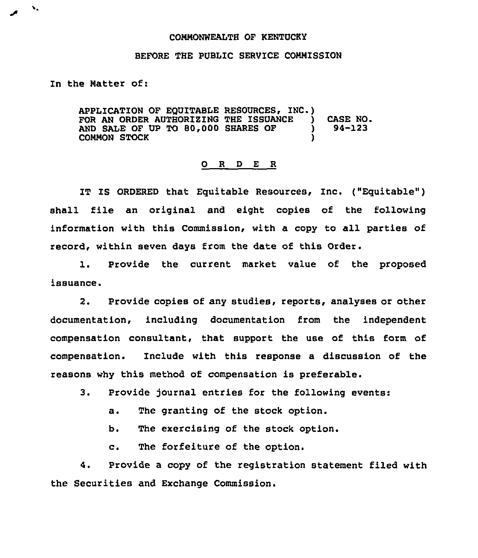## CONNONWEALTH OF KENTUCKI

## BEFORE THE PUBLIC SERVICE CONNISSION

In the Natter of:

١.

APPLICATION OF EQUITABLE RESOURCES, INC.) FOR AN ORDER AUTHORIZING THE ISSUANCE ) CASE NO.<br>AND SALE OF UP TO 80.000 SHARES OF ) 94-123 AND SALE OF UP TO 80,000 SHARES OF COMMON STOCK )

## 0 R <sup>D</sup> E R

IT IS ORDERED that Eguitable Resources, Inc. ("Equitable") shall file an original and eight copies of the following information with this Commission, with a copy to all parties of record, within seven days from the date of this Order.

1, Provide the current market value of the proposed issuance.

2. Provide copies of any studies, reports, analyses or other documentation, including documentation from the independent compensation consultant, that support the use of this form of compensation. Include with this response a discussion of the reasons why this method of compensation is preferable.

3. Provide journal entries for the following events:

a. The granting of the stock option.

b. The exercising of the stock option.

c. The forfeiture of the option.

4. Provide a copy of the registration statement filed with the Securities and Exchange Commission.